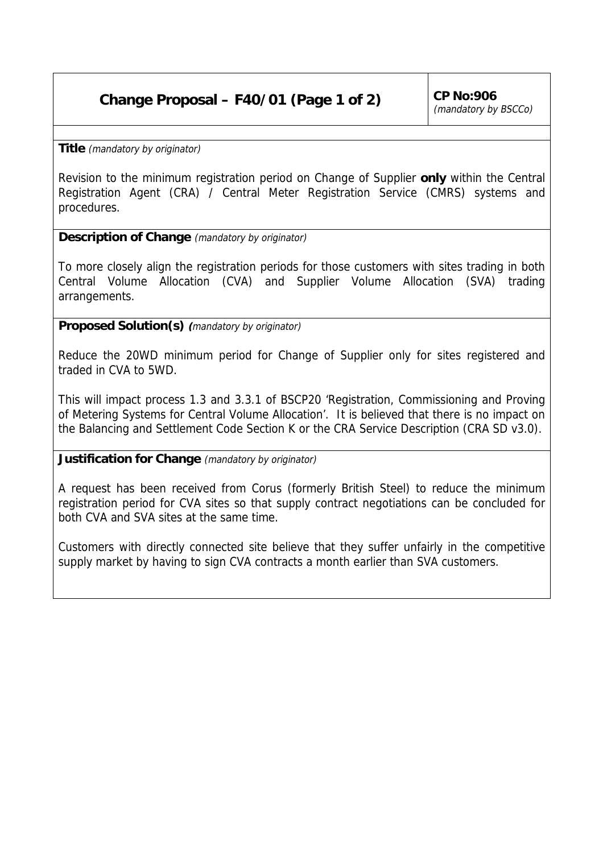## Change Proposal – F40/01 (Page 1 of 2)  $\vert$  CP No:906

(mandatory by BSCCo)

**Title** (mandatory by originator)

Revision to the minimum registration period on Change of Supplier **only** within the Central Registration Agent (CRA) / Central Meter Registration Service (CMRS) systems and procedures.

## **Description of Change** (mandatory by originator)

To more closely align the registration periods for those customers with sites trading in both Central Volume Allocation (CVA) and Supplier Volume Allocation (SVA) trading arrangements.

**Proposed Solution(s) (**mandatory by originator)

Reduce the 20WD minimum period for Change of Supplier only for sites registered and traded in CVA to 5WD.

This will impact process 1.3 and 3.3.1 of BSCP20 'Registration, Commissioning and Proving of Metering Systems for Central Volume Allocation'. It is believed that there is no impact on the Balancing and Settlement Code Section K or the CRA Service Description (CRA SD v3.0).

**Justification for Change** (mandatory by originator)

A request has been received from Corus (formerly British Steel) to reduce the minimum registration period for CVA sites so that supply contract negotiations can be concluded for both CVA and SVA sites at the same time.

Customers with directly connected site believe that they suffer unfairly in the competitive supply market by having to sign CVA contracts a month earlier than SVA customers.